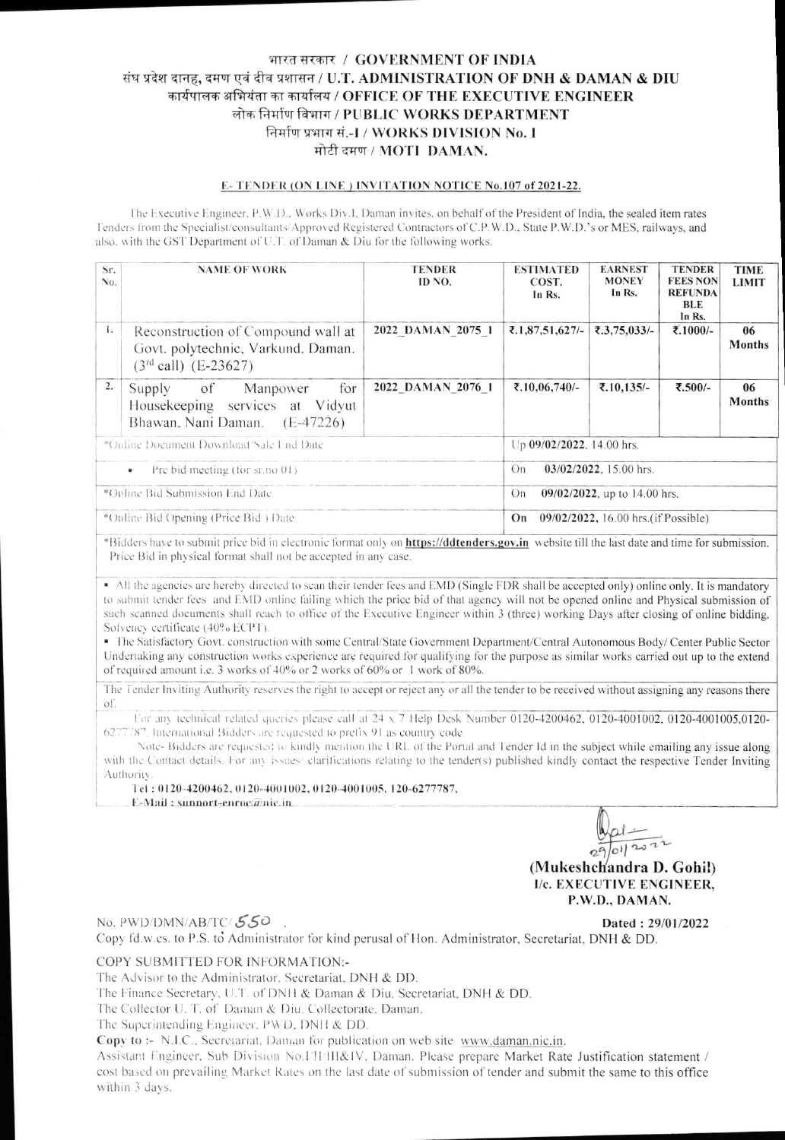# भारत सरकार / GOVERNMENT OF INDIA संघ प्रदेश दानह, दमण एवं दीव प्रशासन / U.T. ADMINISTRATION OF DNH & DAMAN & DIU कार्यपालक अभियंता का कार्यालय / OFFICE OF THE EXECUTIVE ENGINEER लोक निर्माण विभाग / PUBLIC WORKS DEPARTMENT निर्माण प्रभाग सं.-1 / WORKS DIVISION No. I मोटी दमण / MOTI DAMAN.

#### **E-TENDER (ON LINE) INVITATION NOTICE No.107 of 2021-22.**

The Executive Engineer, P.W.D., Works Div.I, Daman invites, on behalf of the President of India, the sealed item rates Tenders from the Specialist/consultants/Approved Registered Contractors of C.P.W.D., State P.W.D.'s or MES, railways, and also, with the GST Department of U.T. of Daman & Diu for the following works.

| Sr.<br>No.                                      | <b>NAME OF WORK</b>                                                                                  | <b>TENDER</b><br>ID NO. | <b>ESTIMATED</b><br>COST.<br>In Rs.        | <b>EARNEST</b><br><b>MONEY</b><br>In Rs. | <b>TENDER</b><br><b>FEES NON</b><br><b>REFUNDA</b><br>BLE<br>In Rs. | <b>TIME</b><br><b>LIMIT</b> |  |
|-------------------------------------------------|------------------------------------------------------------------------------------------------------|-------------------------|--------------------------------------------|------------------------------------------|---------------------------------------------------------------------|-----------------------------|--|
| 1.                                              | Reconstruction of Compound wall at<br>Govt. polytechnic, Varkund, Daman.<br>$(3rd$ call) $(E-23627)$ | 2022 DAMAN 2075 1       | ₹.1,87,51,627/-                            | ₹.3,75,033/-                             | ₹.1000/-                                                            | 06<br><b>Months</b>         |  |
| 2.                                              | for<br>of Manpower<br>Supply<br>Housekeeping services at Vidyut<br>Bhawan, Nani Daman. (E-47226)     | 2022 DAMAN 2076 1       | ₹.10,06,740/-                              | ₹.10,135/-                               | ₹.500/-                                                             | 06<br><b>Months</b>         |  |
| *Online Document Download/Sale End Date         |                                                                                                      |                         | Up 09/02/2022, 14.00 hrs.                  |                                          |                                                                     |                             |  |
| Pre bid meeting (for $sr.no(01)$ )<br>$\bullet$ |                                                                                                      |                         | $03/02/2022$ , 15.00 hrs.<br>On            |                                          |                                                                     |                             |  |
| *Online Bid Submission End Date                 |                                                                                                      |                         | 09/02/2022, up to 14.00 hrs.<br>On         |                                          |                                                                     |                             |  |
| *Online Bid Opening (Price Bid) Date            |                                                                                                      |                         | 09/02/2022, 16.00 hrs. (if Possible)<br>On |                                          |                                                                     |                             |  |

\*Bidders have to submit price bid in electronic format only on https://ddtenders.gov.in website till the last date and time for submission. Price Bid in physical format shall not be accepted in any case.

• All the agencies are hereby directed to sean their tender fees and EMD (Single FDR shall be accepted only) online only. It is mandatory to submit tender fees and EMD online failing which the price bid of that agency will not be opened online and Physical submission of such scanned documents shall reach to office of the Executive Engineer within 3 (three) working Days after closing of online bidding. Solvency certificate (40% ECPT).

· The Satisfactory Govt. construction with some Central/State Government Department/Central Autonomous Body/ Center Public Sector Undertaking any construction works experience are required for qualifying for the purpose as similar works carried out up to the extend of required amount i.e. 3 works of 40% or 2 works of 60% or 1 work of 80%.

The Tender Inviting Authority reserves the right to accept or reject any or all the tender to be received without assigning any reasons there of.

For any technical related queries please call at 24 x 7 Help Desk Number 0120-4200462, 0120-4001002, 0120-4001005,0120-6277787. International Bidders are requested to prefix 91 as country code.

Note-Bidders are requested to kindly mention the URL of the Portal and Tender Id in the subject while emailing any issue along with the Contact details. For any issues/ clarifications relating to the tender(s) published kindly contact the respective Tender Inviting Authority

Tel: 0120-4200462, 0120-4001002, 0120-4001005, 120-6277787, E-Mail: support-enroc@nic.in

29/01/202

(Mukeshchandra D. Gohil) I/c. EXECUTIVE ENGINEER, P.W.D., DAMAN.

### No. PWD/DMN/AB/TC/550.

Dated: 29/01/2022

Copy fd.w.cs. to P.S. to Administrator for kind perusal of Hon. Administrator, Secretariat, DNH & DD.

#### COPY SUBMITTED FOR INFORMATION:-

The Advisor to the Administrator, Secretariat, DNH & DD.

The Finance Secretary, U.T. of DNH & Daman & Diu, Secretariat, DNH & DD.

The Collector U. T. of Daman & Diu, Collectorate, Daman.

The Superintending Engineer, PWD, DNH & DD.

Copy to :- N.I.C., Secretariat, Daman for publication on web site www.daman.nic.in.

Assistant Engineer, Sub Division No.1/1/1H&IV, Daman. Please prepare Market Rate Justification statement / cost based on prevailing Market Rates on the last date of submission of tender and submit the same to this office within 3 days.